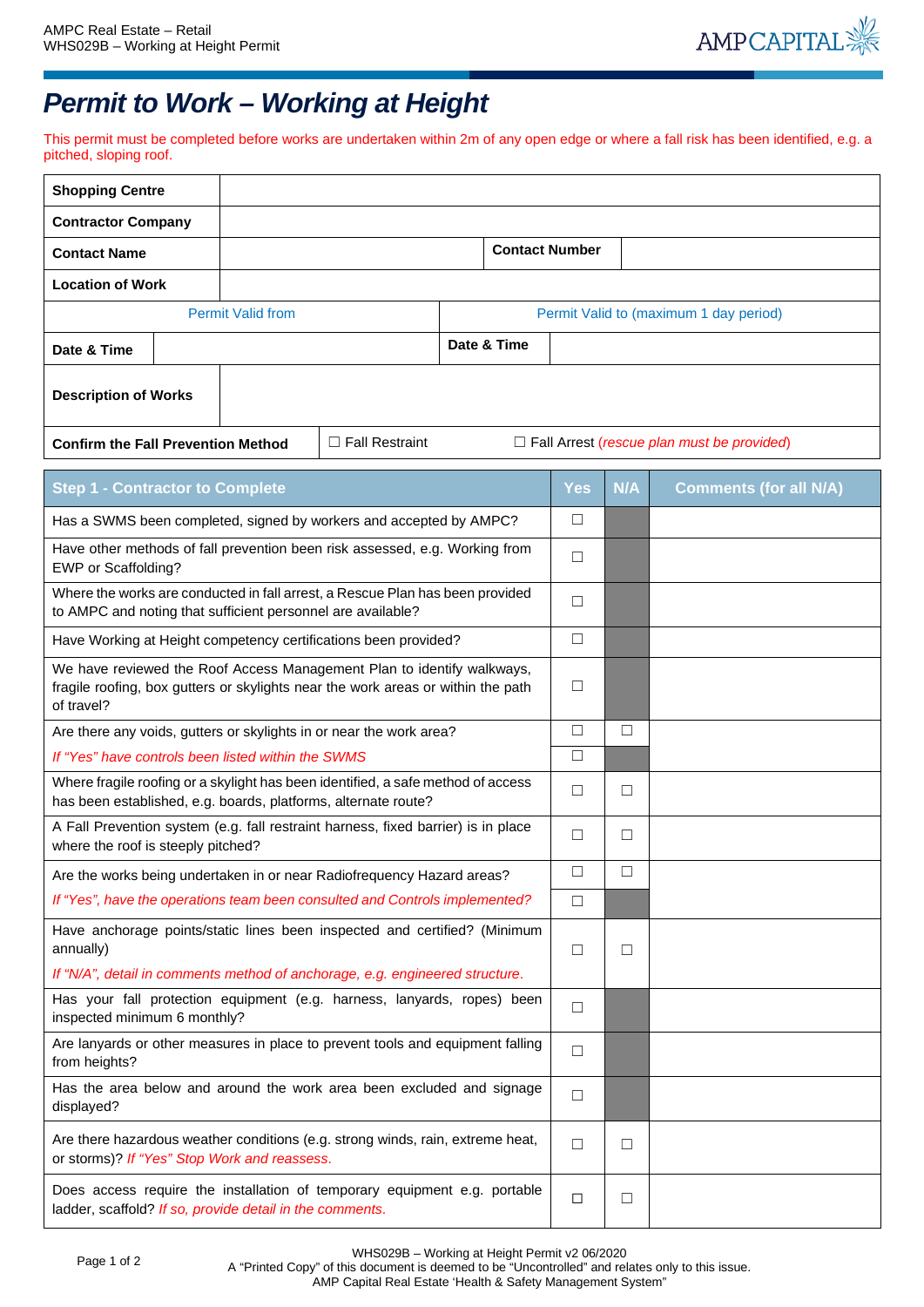

## *Permit to Work – Working at Height*

This permit must be completed before works are undertaken within 2m of any open edge or where a fall risk has been identified, e.g. a pitched, sloping roof.

| <b>Shopping Centre</b>                                                                                                                                                   |  |                          |                                                                                                                                                    |                                        |            |        |                                                   |
|--------------------------------------------------------------------------------------------------------------------------------------------------------------------------|--|--------------------------|----------------------------------------------------------------------------------------------------------------------------------------------------|----------------------------------------|------------|--------|---------------------------------------------------|
| <b>Contractor Company</b>                                                                                                                                                |  |                          |                                                                                                                                                    |                                        |            |        |                                                   |
| <b>Contact Name</b>                                                                                                                                                      |  |                          | <b>Contact Number</b>                                                                                                                              |                                        |            |        |                                                   |
| <b>Location of Work</b>                                                                                                                                                  |  |                          |                                                                                                                                                    |                                        |            |        |                                                   |
|                                                                                                                                                                          |  | <b>Permit Valid from</b> |                                                                                                                                                    | Permit Valid to (maximum 1 day period) |            |        |                                                   |
| Date & Time                                                                                                                                                              |  |                          |                                                                                                                                                    | Date & Time                            |            |        |                                                   |
| <b>Description of Works</b>                                                                                                                                              |  |                          |                                                                                                                                                    |                                        |            |        |                                                   |
| <b>Confirm the Fall Prevention Method</b>                                                                                                                                |  |                          | $\Box$ Fall Restraint                                                                                                                              |                                        |            |        | $\Box$ Fall Arrest (rescue plan must be provided) |
| <b>Step 1 - Contractor to Complete</b>                                                                                                                                   |  |                          |                                                                                                                                                    |                                        | <b>Yes</b> | N/A    | <b>Comments (for all N/A)</b>                     |
|                                                                                                                                                                          |  |                          | Has a SWMS been completed, signed by workers and accepted by AMPC?                                                                                 |                                        | □          |        |                                                   |
| EWP or Scaffolding?                                                                                                                                                      |  |                          | Have other methods of fall prevention been risk assessed, e.g. Working from                                                                        |                                        | □          |        |                                                   |
| to AMPC and noting that sufficient personnel are available?                                                                                                              |  |                          | Where the works are conducted in fall arrest, a Rescue Plan has been provided                                                                      |                                        | □          |        |                                                   |
|                                                                                                                                                                          |  |                          | Have Working at Height competency certifications been provided?                                                                                    |                                        | $\Box$     |        |                                                   |
| We have reviewed the Roof Access Management Plan to identify walkways,<br>fragile roofing, box gutters or skylights near the work areas or within the path<br>of travel? |  |                          |                                                                                                                                                    |                                        | □          |        |                                                   |
|                                                                                                                                                                          |  |                          | Are there any voids, gutters or skylights in or near the work area?                                                                                |                                        | □          | $\Box$ |                                                   |
| If "Yes" have controls been listed within the SWMS                                                                                                                       |  |                          |                                                                                                                                                    |                                        | □          |        |                                                   |
|                                                                                                                                                                          |  |                          | Where fragile roofing or a skylight has been identified, a safe method of access<br>has been established, e.g. boards, platforms, alternate route? |                                        | □          | $\Box$ |                                                   |
| A Fall Prevention system (e.g. fall restraint harness, fixed barrier) is in place<br>where the roof is steeply pitched?                                                  |  |                          |                                                                                                                                                    |                                        | □          | $\Box$ |                                                   |
|                                                                                                                                                                          |  |                          | Are the works being undertaken in or near Radiofrequency Hazard areas?                                                                             |                                        | □          |        |                                                   |
|                                                                                                                                                                          |  |                          | If "Yes", have the operations team been consulted and Controls implemented?                                                                        |                                        | □          |        |                                                   |
| Have anchorage points/static lines been inspected and certified? (Minimum<br>annually)<br>If "N/A", detail in comments method of anchorage, e.g. engineered structure.   |  |                          |                                                                                                                                                    |                                        | $\Box$     | $\Box$ |                                                   |
| Has your fall protection equipment (e.g. harness, lanyards, ropes) been<br>inspected minimum 6 monthly?                                                                  |  |                          |                                                                                                                                                    |                                        | $\Box$     |        |                                                   |
| Are lanyards or other measures in place to prevent tools and equipment falling<br>from heights?                                                                          |  |                          |                                                                                                                                                    |                                        | $\Box$     |        |                                                   |
| Has the area below and around the work area been excluded and signage<br>displayed?                                                                                      |  |                          |                                                                                                                                                    |                                        | $\Box$     |        |                                                   |
| Are there hazardous weather conditions (e.g. strong winds, rain, extreme heat,<br>or storms)? If "Yes" Stop Work and reassess.                                           |  |                          |                                                                                                                                                    |                                        | □          | □      |                                                   |
| Does access require the installation of temporary equipment e.g. portable<br>ladder, scaffold? If so, provide detail in the comments.                                    |  |                          |                                                                                                                                                    |                                        | $\Box$     | $\Box$ |                                                   |